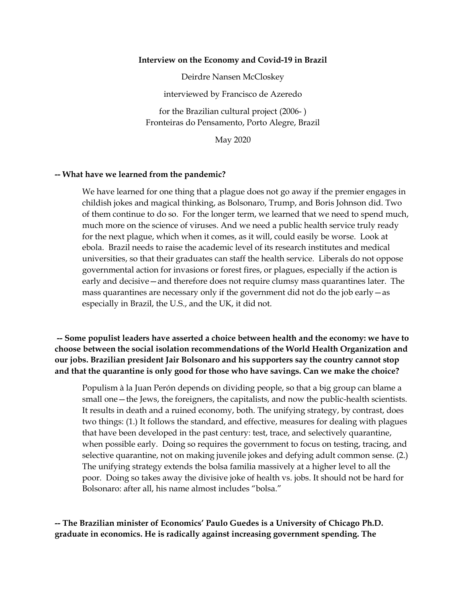## **Interview on the Economy and Covid-19 in Brazil**

Deirdre Nansen McCloskey

interviewed by Francisco de Azeredo

for the Brazilian cultural project (2006- ) Fronteiras do Pensamento, Porto Alegre, Brazil

May 2020

## **-- What have we learned from the pandemic?**

We have learned for one thing that a plague does not go away if the premier engages in childish jokes and magical thinking, as Bolsonaro, Trump, and Boris Johnson did. Two of them continue to do so. For the longer term, we learned that we need to spend much, much more on the science of viruses. And we need a public health service truly ready for the next plague, which when it comes, as it will, could easily be worse. Look at ebola. Brazil needs to raise the academic level of its research institutes and medical universities, so that their graduates can staff the health service. Liberals do not oppose governmental action for invasions or forest fires, or plagues, especially if the action is early and decisive—and therefore does not require clumsy mass quarantines later. The mass quarantines are necessary only if the government did not do the job early—as especially in Brazil, the U.S., and the UK, it did not.

**-- Some populist leaders have asserted a choice between health and the economy: we have to choose between the social isolation recommendations of the World Health Organization and our jobs. Brazilian president Jair Bolsonaro and his supporters say the country cannot stop and that the quarantine is only good for those who have savings. Can we make the choice?**

Populism à la Juan Perón depends on dividing people, so that a big group can blame a small one—the Jews, the foreigners, the capitalists, and now the public-health scientists. It results in death and a ruined economy, both. The unifying strategy, by contrast, does two things: (1.) It follows the standard, and effective, measures for dealing with plagues that have been developed in the past century: test, trace, and selectively quarantine, when possible early. Doing so requires the government to focus on testing, tracing, and selective quarantine, not on making juvenile jokes and defying adult common sense. (2.) The unifying strategy extends the bolsa familia massively at a higher level to all the poor. Doing so takes away the divisive joke of health vs. jobs. It should not be hard for Bolsonaro: after all, his name almost includes "bolsa."

**-- The Brazilian minister of Economics' Paulo Guedes is a University of Chicago Ph.D. graduate in economics. He is radically against increasing government spending. The**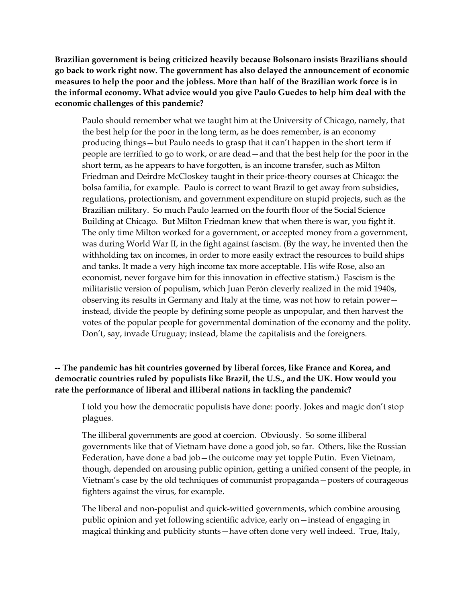**Brazilian government is being criticized heavily because Bolsonaro insists Brazilians should go back to work right now. The government has also delayed the announcement of economic measures to help the poor and the jobless. More than half of the Brazilian work force is in the informal economy. What advice would you give Paulo Guedes to help him deal with the economic challenges of this pandemic?**

Paulo should remember what we taught him at the University of Chicago, namely, that the best help for the poor in the long term, as he does remember, is an economy producing things—but Paulo needs to grasp that it can't happen in the short term if people are terrified to go to work, or are dead—and that the best help for the poor in the short term, as he appears to have forgotten, is an income transfer, such as Milton Friedman and Deirdre McCloskey taught in their price-theory courses at Chicago: the bolsa familia, for example. Paulo is correct to want Brazil to get away from subsidies, regulations, protectionism, and government expenditure on stupid projects, such as the Brazilian military. So much Paulo learned on the fourth floor of the Social Science Building at Chicago. But Milton Friedman knew that when there is war, you fight it. The only time Milton worked for a government, or accepted money from a government, was during World War II, in the fight against fascism. (By the way, he invented then the withholding tax on incomes, in order to more easily extract the resources to build ships and tanks. It made a very high income tax more acceptable. His wife Rose, also an economist, never forgave him for this innovation in effective statism.) Fascism is the militaristic version of populism, which Juan Perón cleverly realized in the mid 1940s, observing its results in Germany and Italy at the time, was not how to retain power instead, divide the people by defining some people as unpopular, and then harvest the votes of the popular people for governmental domination of the economy and the polity. Don't, say, invade Uruguay; instead, blame the capitalists and the foreigners.

**-- The pandemic has hit countries governed by liberal forces, like France and Korea, and democratic countries ruled by populists like Brazil, the U.S., and the UK. How would you rate the performance of liberal and illiberal nations in tackling the pandemic?**

I told you how the democratic populists have done: poorly. Jokes and magic don't stop plagues.

The illiberal governments are good at coercion. Obviously. So some illiberal governments like that of Vietnam have done a good job, so far. Others, like the Russian Federation, have done a bad job—the outcome may yet topple Putin. Even Vietnam, though, depended on arousing public opinion, getting a unified consent of the people, in Vietnam's case by the old techniques of communist propaganda—posters of courageous fighters against the virus, for example.

The liberal and non-populist and quick-witted governments, which combine arousing public opinion and yet following scientific advice, early on—instead of engaging in magical thinking and publicity stunts—have often done very well indeed. True, Italy,